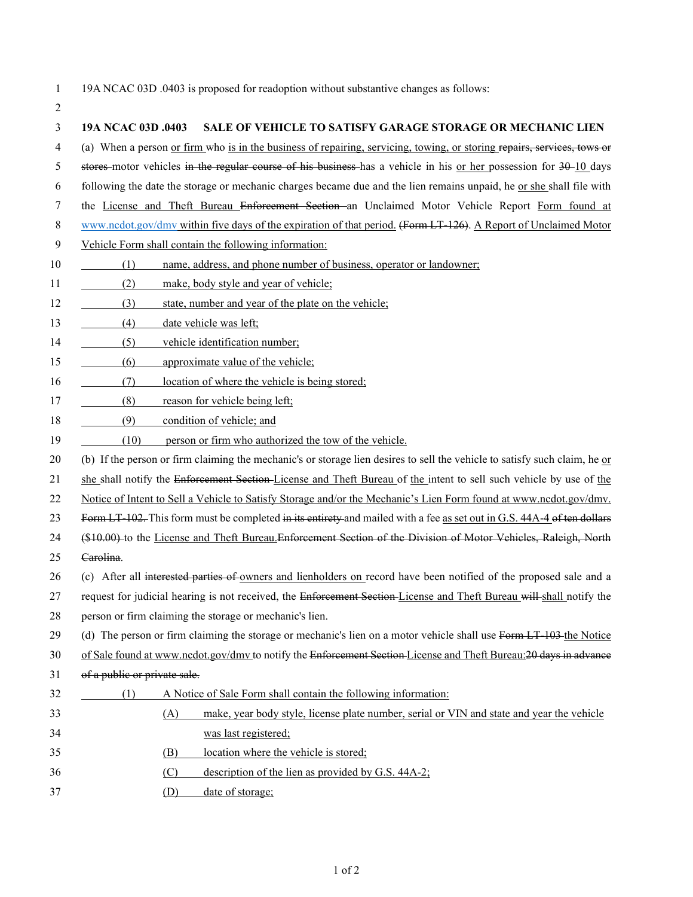1 19A NCAC 03D .0403 is proposed for readoption without substantive changes as follows:

2 3 **19A NCAC 03D .0403 SALE OF VEHICLE TO SATISFY GARAGE STORAGE OR MECHANIC LIEN** 4 (a) When a person or firm who is in the business of repairing, servicing, towing, or storing repairs, services, tows or 5 stores motor vehicles in the regular course of his business has a vehicle in his or her possession for 30–10 days 6 following the date the storage or mechanic charges became due and the lien remains unpaid, he <u>or she</u> shall file with 7 the License and Theft Bureau Enforcement Section an Unclaimed Motor Vehicle Report Form found at 8 [www.ncdot.gov/dmv](http://www.ncdot.gov/dmv) within five days of the expiration of that period. (Form LT-126). A Report of Unclaimed Motor 9 Vehicle Form shall contain the following information: 10 (1) name, address, and phone number of business, operator or landowner; 11 (2) make, body style and year of vehicle; 12 (3) state, number and year of the plate on the vehicle; 13 (4) date vehicle was left; 14 (5) vehicle identification number; 15 (6) approximate value of the vehicle; 16 (7) location of where the vehicle is being stored; 17 (8) reason for vehicle being left; 18 (9) condition of vehicle; and 19 (10) person or firm who authorized the tow of the vehicle. 20 (b) If the person or firm claiming the mechanic's or storage lien desires to sell the vehicle to satisfy such claim, he or 21 she shall notify the Enforcement Section-License and Theft Bureau of the intent to sell such vehicle by use of the 22 Notice of Intent to Sell a Vehicle to Satisfy Storage and/or the Mechanic's Lien Form found at www.ncdot.gov/dmv. 23 Form LT-102. This form must be completed in its entirety and mailed with a fee as set out in G.S. 44A-4 of ten dollars 24 (\$10.00) to the License and Theft Bureau. Enforcement Section of the Division of Motor Vehicles, Raleigh, North 25 Carolina. 26 (c) After all interested parties of owners and lienholders on record have been notified of the proposed sale and a 27 request for judicial hearing is not received, the Enforcement Section-License and Theft Bureau will shall notify the 28 person or firm claiming the storage or mechanic's lien. 29 (d) The person or firm claiming the storage or mechanic's lien on a motor vehicle shall use Form LT-103 the Notice 30 of Sale found at www.ncdot.gov/dmv to notify the Enforcement Section License and Theft Bureau: 20 days in advance 31 of a public or private sale. 32 (1) A Notice of Sale Form shall contain the following information: 33 (A) make, year body style, license plate number, serial or VIN and state and year the vehicle 34 was last registered; 35 (B) location where the vehicle is stored; 36 (C) description of the lien as provided by G.S. 44A-2; 37 (D) date of storage;